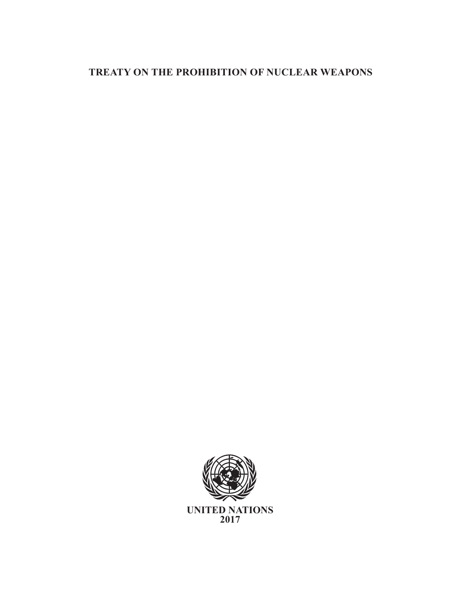# **TREATY ON THE PROHIBITION OF NUCLEAR WEAPONS**

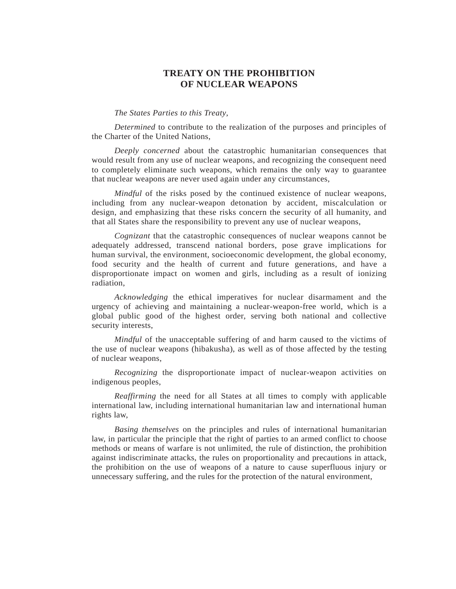# **TREATY ON THE PROHIBITION OF NUCLEAR WEAPONS**

#### *The States Parties to this Treaty*,

*Determined* to contribute to the realization of the purposes and principles of the Charter of the United Nations,

*Deeply concerned* about the catastrophic humanitarian consequences that would result from any use of nuclear weapons, and recognizing the consequent need to completely eliminate such weapons, which remains the only way to guarantee that nuclear weapons are never used again under any circumstances,

*Mindful* of the risks posed by the continued existence of nuclear weapons, including from any nuclear-weapon detonation by accident, miscalculation or design, and emphasizing that these risks concern the security of all humanity, and that all States share the responsibility to prevent any use of nuclear weapons,

*Cognizant* that the catastrophic consequences of nuclear weapons cannot be adequately addressed, transcend national borders, pose grave implications for human survival, the environment, socioeconomic development, the global economy, food security and the health of current and future generations, and have a disproportionate impact on women and girls, including as a result of ionizing radiation,

*Acknowledging* the ethical imperatives for nuclear disarmament and the urgency of achieving and maintaining a nuclear-weapon-free world, which is a global public good of the highest order, serving both national and collective security interests,

*Mindful* of the unacceptable suffering of and harm caused to the victims of the use of nuclear weapons (hibakusha), as well as of those affected by the testing of nuclear weapons,

*Recognizing* the disproportionate impact of nuclear-weapon activities on indigenous peoples,

*Reaffirming* the need for all States at all times to comply with applicable international law, including international humanitarian law and international human rights law,

*Basing themselves* on the principles and rules of international humanitarian law, in particular the principle that the right of parties to an armed conflict to choose methods or means of warfare is not unlimited, the rule of distinction, the prohibition against indiscriminate attacks, the rules on proportionality and precautions in attack, the prohibition on the use of weapons of a nature to cause superfluous injury or unnecessary suffering, and the rules for the protection of the natural environment,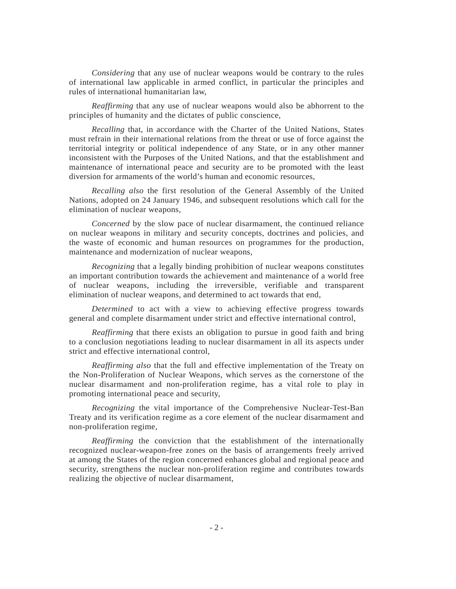*Considering* that any use of nuclear weapons would be contrary to the rules of international law applicable in armed conflict, in particular the principles and rules of international humanitarian law,

*Reaffirming* that any use of nuclear weapons would also be abhorrent to the principles of humanity and the dictates of public conscience,

*Recalling* that, in accordance with the Charter of the United Nations, States must refrain in their international relations from the threat or use of force against the territorial integrity or political independence of any State, or in any other manner inconsistent with the Purposes of the United Nations, and that the establishment and maintenance of international peace and security are to be promoted with the least diversion for armaments of the world's human and economic resources,

*Recalling also* the first resolution of the General Assembly of the United Nations, adopted on 24 January 1946, and subsequent resolutions which call for the elimination of nuclear weapons,

*Concerned* by the slow pace of nuclear disarmament, the continued reliance on nuclear weapons in military and security concepts, doctrines and policies, and the waste of economic and human resources on programmes for the production, maintenance and modernization of nuclear weapons,

*Recognizing* that a legally binding prohibition of nuclear weapons constitutes an important contribution towards the achievement and maintenance of a world free of nuclear weapons, including the irreversible, verifiable and transparent elimination of nuclear weapons, and determined to act towards that end,

*Determined* to act with a view to achieving effective progress towards general and complete disarmament under strict and effective international control,

*Reaffirming* that there exists an obligation to pursue in good faith and bring to a conclusion negotiations leading to nuclear disarmament in all its aspects under strict and effective international control,

*Reaffirming also* that the full and effective implementation of the Treaty on the Non-Proliferation of Nuclear Weapons, which serves as the cornerstone of the nuclear disarmament and non-proliferation regime, has a vital role to play in promoting international peace and security,

*Recognizing* the vital importance of the Comprehensive Nuclear-Test-Ban Treaty and its verification regime as a core element of the nuclear disarmament and non-proliferation regime,

*Reaffirming* the conviction that the establishment of the internationally recognized nuclear-weapon-free zones on the basis of arrangements freely arrived at among the States of the region concerned enhances global and regional peace and security, strengthens the nuclear non-proliferation regime and contributes towards realizing the objective of nuclear disarmament,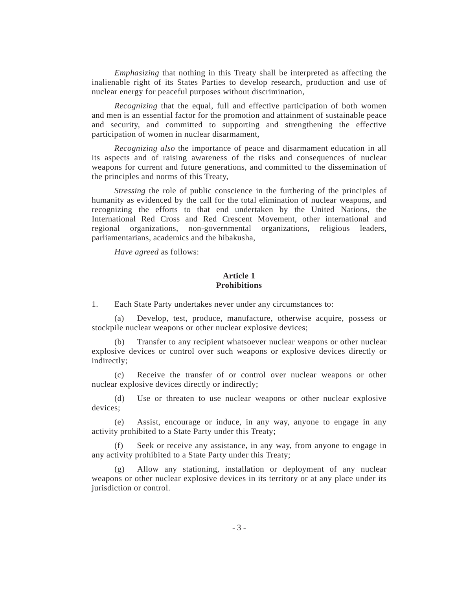*Emphasizing* that nothing in this Treaty shall be interpreted as affecting the inalienable right of its States Parties to develop research, production and use of nuclear energy for peaceful purposes without discrimination,

*Recognizing* that the equal, full and effective participation of both women and men is an essential factor for the promotion and attainment of sustainable peace and security, and committed to supporting and strengthening the effective participation of women in nuclear disarmament,

*Recognizing also* the importance of peace and disarmament education in all its aspects and of raising awareness of the risks and consequences of nuclear weapons for current and future generations, and committed to the dissemination of the principles and norms of this Treaty,

*Stressing* the role of public conscience in the furthering of the principles of humanity as evidenced by the call for the total elimination of nuclear weapons, and recognizing the efforts to that end undertaken by the United Nations, the International Red Cross and Red Crescent Movement, other international and regional organizations, non-governmental organizations, religious leaders, parliamentarians, academics and the hibakusha,

*Have agreed* as follows:

### **Article 1 Prohibitions**

1. Each State Party undertakes never under any circumstances to:

(a) Develop, test, produce, manufacture, otherwise acquire, possess or stockpile nuclear weapons or other nuclear explosive devices;

(b) Transfer to any recipient whatsoever nuclear weapons or other nuclear explosive devices or control over such weapons or explosive devices directly or indirectly;

(c) Receive the transfer of or control over nuclear weapons or other nuclear explosive devices directly or indirectly;

(d) Use or threaten to use nuclear weapons or other nuclear explosive devices;

(e) Assist, encourage or induce, in any way, anyone to engage in any activity prohibited to a State Party under this Treaty;

(f) Seek or receive any assistance, in any way, from anyone to engage in any activity prohibited to a State Party under this Treaty;

Allow any stationing, installation or deployment of any nuclear weapons or other nuclear explosive devices in its territory or at any place under its jurisdiction or control.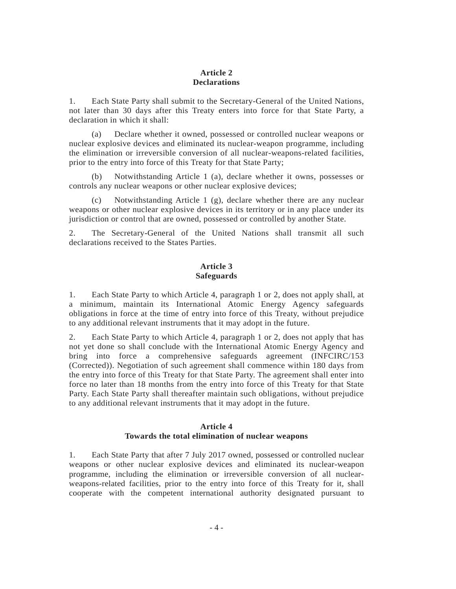#### **Article 2 Declarations**

1. Each State Party shall submit to the Secretary-General of the United Nations, not later than 30 days after this Treaty enters into force for that State Party, a declaration in which it shall:

(a) Declare whether it owned, possessed or controlled nuclear weapons or nuclear explosive devices and eliminated its nuclear-weapon programme, including the elimination or irreversible conversion of all nuclear-weapons-related facilities, prior to the entry into force of this Treaty for that State Party;

(b) Notwithstanding Article 1 (a), declare whether it owns, possesses or controls any nuclear weapons or other nuclear explosive devices;

(c) Notwithstanding Article 1 (g), declare whether there are any nuclear weapons or other nuclear explosive devices in its territory or in any place under its jurisdiction or control that are owned, possessed or controlled by another State.

2. The Secretary-General of the United Nations shall transmit all such declarations received to the States Parties.

# **Article 3 Safeguards**

1. Each State Party to which Article 4, paragraph 1 or 2, does not apply shall, at a minimum, maintain its International Atomic Energy Agency safeguards obligations in force at the time of entry into force of this Treaty, without prejudice to any additional relevant instruments that it may adopt in the future.

2. Each State Party to which Article 4, paragraph 1 or 2, does not apply that has not yet done so shall conclude with the International Atomic Energy Agency and bring into force a comprehensive safeguards agreement (INFCIRC/153 (Corrected)). Negotiation of such agreement shall commence within 180 days from the entry into force of this Treaty for that State Party. The agreement shall enter into force no later than 18 months from the entry into force of this Treaty for that State Party. Each State Party shall thereafter maintain such obligations, without prejudice to any additional relevant instruments that it may adopt in the future.

## **Article 4**

#### **Towards the total elimination of nuclear weapons**

1. Each State Party that after 7 July 2017 owned, possessed or controlled nuclear weapons or other nuclear explosive devices and eliminated its nuclear-weapon programme, including the elimination or irreversible conversion of all nuclearweapons-related facilities, prior to the entry into force of this Treaty for it, shall cooperate with the competent international authority designated pursuant to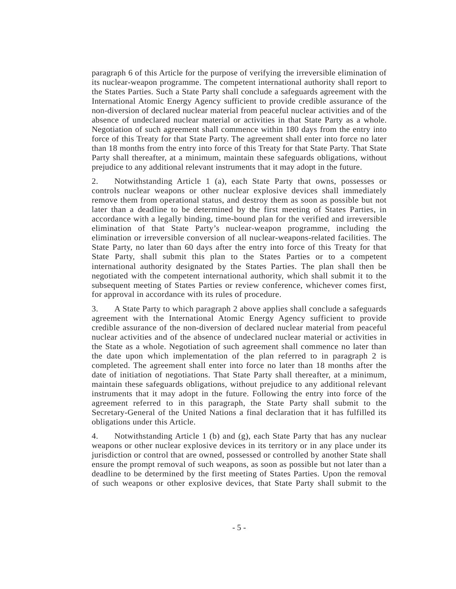paragraph 6 of this Article for the purpose of verifying the irreversible elimination of its nuclear-weapon programme. The competent international authority shall report to the States Parties. Such a State Party shall conclude a safeguards agreement with the International Atomic Energy Agency sufficient to provide credible assurance of the non-diversion of declared nuclear material from peaceful nuclear activities and of the absence of undeclared nuclear material or activities in that State Party as a whole. Negotiation of such agreement shall commence within 180 days from the entry into force of this Treaty for that State Party. The agreement shall enter into force no later than 18 months from the entry into force of this Treaty for that State Party. That State Party shall thereafter, at a minimum, maintain these safeguards obligations, without prejudice to any additional relevant instruments that it may adopt in the future.

2. Notwithstanding Article 1 (a), each State Party that owns, possesses or controls nuclear weapons or other nuclear explosive devices shall immediately remove them from operational status, and destroy them as soon as possible but not later than a deadline to be determined by the first meeting of States Parties, in accordance with a legally binding, time-bound plan for the verified and irreversible elimination of that State Party's nuclear-weapon programme, including the elimination or irreversible conversion of all nuclear-weapons-related facilities. The State Party, no later than 60 days after the entry into force of this Treaty for that State Party, shall submit this plan to the States Parties or to a competent international authority designated by the States Parties. The plan shall then be negotiated with the competent international authority, which shall submit it to the subsequent meeting of States Parties or review conference, whichever comes first, for approval in accordance with its rules of procedure.

3. A State Party to which paragraph 2 above applies shall conclude a safeguards agreement with the International Atomic Energy Agency sufficient to provide credible assurance of the non-diversion of declared nuclear material from peaceful nuclear activities and of the absence of undeclared nuclear material or activities in the State as a whole. Negotiation of such agreement shall commence no later than the date upon which implementation of the plan referred to in paragraph 2 is completed. The agreement shall enter into force no later than 18 months after the date of initiation of negotiations. That State Party shall thereafter, at a minimum, maintain these safeguards obligations, without prejudice to any additional relevant instruments that it may adopt in the future. Following the entry into force of the agreement referred to in this paragraph, the State Party shall submit to the Secretary-General of the United Nations a final declaration that it has fulfilled its obligations under this Article.

4. Notwithstanding Article 1 (b) and (g), each State Party that has any nuclear weapons or other nuclear explosive devices in its territory or in any place under its jurisdiction or control that are owned, possessed or controlled by another State shall ensure the prompt removal of such weapons, as soon as possible but not later than a deadline to be determined by the first meeting of States Parties. Upon the removal of such weapons or other explosive devices, that State Party shall submit to the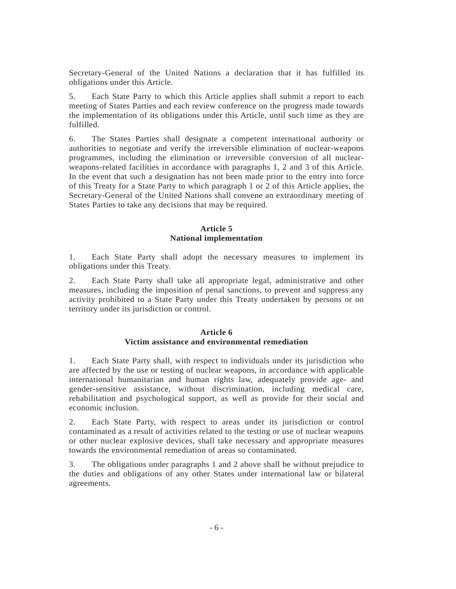Secretary-General of the United Nations a declaration that it has fulfilled its obligations under this Article.

5. Each State Party to which this Article applies shall submit a report to each meeting of States Parties and each review conference on the progress made towards the implementation of its obligations under this Article, until such time as they are fulfilled.

6. The States Parties shall designate a competent international authority or authorities to negotiate and verify the irreversible elimination of nuclear-weapons programmes, including the elimination or irreversible conversion of all nuclearweapons-related facilities in accordance with paragraphs 1, 2 and 3 of this Article. In the event that such a designation has not been made prior to the entry into force of this Treaty for a State Party to which paragraph 1 or 2 of this Article applies, the Secretary-General of the United Nations shall convene an extraordinary meeting of States Parties to take any decisions that may be required.

## **Article 5 National implementation**

1. Each State Party shall adopt the necessary measures to implement its obligations under this Treaty.

2. Each State Party shall take all appropriate legal, administrative and other measures, including the imposition of penal sanctions, to prevent and suppress any activity prohibited to a State Party under this Treaty undertaken by persons or on territory under its jurisdiction or control.

### **Article 6 Victim assistance and environmental remediation**

1. Each State Party shall, with respect to individuals under its jurisdiction who are affected by the use or testing of nuclear weapons, in accordance with applicable international humanitarian and human rights law, adequately provide age- and gender-sensitive assistance, without discrimination, including medical care, rehabilitation and psychological support, as well as provide for their social and economic inclusion.

2. Each State Party, with respect to areas under its jurisdiction or control contaminated as a result of activities related to the testing or use of nuclear weapons or other nuclear explosive devices, shall take necessary and appropriate measures towards the environmental remediation of areas so contaminated.

3. The obligations under paragraphs 1 and 2 above shall be without prejudice to the duties and obligations of any other States under international law or bilateral agreements.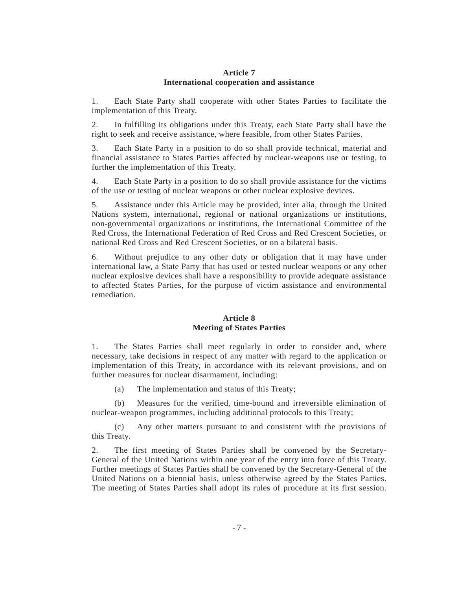#### **Article 7 International cooperation and assistance**

1. Each State Party shall cooperate with other States Parties to facilitate the implementation of this Treaty.

2. In fulfilling its obligations under this Treaty, each State Party shall have the right to seek and receive assistance, where feasible, from other States Parties.

3. Each State Party in a position to do so shall provide technical, material and financial assistance to States Parties affected by nuclear-weapons use or testing, to further the implementation of this Treaty.

4. Each State Party in a position to do so shall provide assistance for the victims of the use or testing of nuclear weapons or other nuclear explosive devices.

5. Assistance under this Article may be provided, inter alia, through the United Nations system, international, regional or national organizations or institutions, non-governmental organizations or institutions, the International Committee of the Red Cross, the International Federation of Red Cross and Red Crescent Societies, or national Red Cross and Red Crescent Societies, or on a bilateral basis.

6. Without prejudice to any other duty or obligation that it may have under international law, a State Party that has used or tested nuclear weapons or any other nuclear explosive devices shall have a responsibility to provide adequate assistance to affected States Parties, for the purpose of victim assistance and environmental remediation.

#### **Article 8 Meeting of States Parties**

1. The States Parties shall meet regularly in order to consider and, where necessary, take decisions in respect of any matter with regard to the application or implementation of this Treaty, in accordance with its relevant provisions, and on further measures for nuclear disarmament, including:

(a) The implementation and status of this Treaty;

(b) Measures for the verified, time-bound and irreversible elimination of nuclear-weapon programmes, including additional protocols to this Treaty;

(c) Any other matters pursuant to and consistent with the provisions of this Treaty.

2. The first meeting of States Parties shall be convened by the Secretary-General of the United Nations within one year of the entry into force of this Treaty. Further meetings of States Parties shall be convened by the Secretary-General of the United Nations on a biennial basis, unless otherwise agreed by the States Parties. The meeting of States Parties shall adopt its rules of procedure at its first session.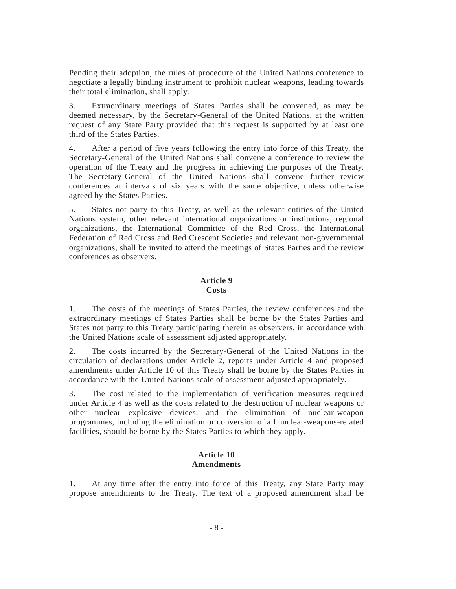Pending their adoption, the rules of procedure of the United Nations conference to negotiate a legally binding instrument to prohibit nuclear weapons, leading towards their total elimination, shall apply.

3. Extraordinary meetings of States Parties shall be convened, as may be deemed necessary, by the Secretary-General of the United Nations, at the written request of any State Party provided that this request is supported by at least one third of the States Parties.

4. After a period of five years following the entry into force of this Treaty, the Secretary-General of the United Nations shall convene a conference to review the operation of the Treaty and the progress in achieving the purposes of the Treaty. The Secretary-General of the United Nations shall convene further review conferences at intervals of six years with the same objective, unless otherwise agreed by the States Parties.

5. States not party to this Treaty, as well as the relevant entities of the United Nations system, other relevant international organizations or institutions, regional organizations, the International Committee of the Red Cross, the International Federation of Red Cross and Red Crescent Societies and relevant non-governmental organizations, shall be invited to attend the meetings of States Parties and the review conferences as observers.

#### **Article 9 Costs**

1. The costs of the meetings of States Parties, the review conferences and the extraordinary meetings of States Parties shall be borne by the States Parties and States not party to this Treaty participating therein as observers, in accordance with the United Nations scale of assessment adjusted appropriately.

2. The costs incurred by the Secretary-General of the United Nations in the circulation of declarations under Article 2, reports under Article 4 and proposed amendments under Article 10 of this Treaty shall be borne by the States Parties in accordance with the United Nations scale of assessment adjusted appropriately.

3. The cost related to the implementation of verification measures required under Article 4 as well as the costs related to the destruction of nuclear weapons or other nuclear explosive devices, and the elimination of nuclear-weapon programmes, including the elimination or conversion of all nuclear-weapons-related facilities, should be borne by the States Parties to which they apply.

#### **Article 10 Amendments**

1. At any time after the entry into force of this Treaty, any State Party may propose amendments to the Treaty. The text of a proposed amendment shall be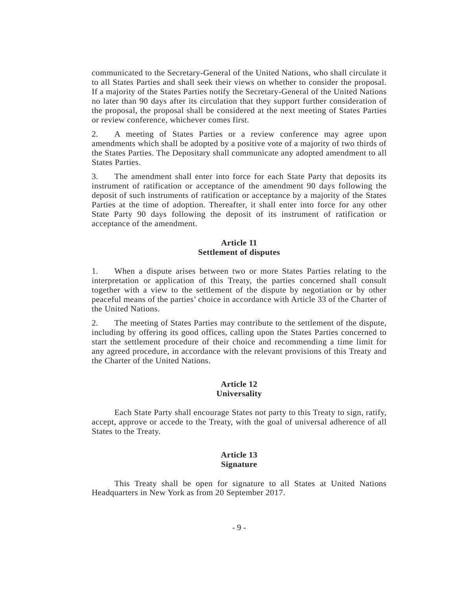communicated to the Secretary-General of the United Nations, who shall circulate it to all States Parties and shall seek their views on whether to consider the proposal. If a majority of the States Parties notify the Secretary-General of the United Nations no later than 90 days after its circulation that they support further consideration of the proposal, the proposal shall be considered at the next meeting of States Parties or review conference, whichever comes first.

2. A meeting of States Parties or a review conference may agree upon amendments which shall be adopted by a positive vote of a majority of two thirds of the States Parties. The Depositary shall communicate any adopted amendment to all States Parties.

3. The amendment shall enter into force for each State Party that deposits its instrument of ratification or acceptance of the amendment 90 days following the deposit of such instruments of ratification or acceptance by a majority of the States Parties at the time of adoption. Thereafter, it shall enter into force for any other State Party 90 days following the deposit of its instrument of ratification or acceptance of the amendment.

#### **Article 11 Settlement of disputes**

1. When a dispute arises between two or more States Parties relating to the interpretation or application of this Treaty, the parties concerned shall consult together with a view to the settlement of the dispute by negotiation or by other peaceful means of the parties' choice in accordance with Article 33 of the Charter of the United Nations.

2. The meeting of States Parties may contribute to the settlement of the dispute, including by offering its good offices, calling upon the States Parties concerned to start the settlement procedure of their choice and recommending a time limit for any agreed procedure, in accordance with the relevant provisions of this Treaty and the Charter of the United Nations.

## **Article 12 Universality**

Each State Party shall encourage States not party to this Treaty to sign, ratify, accept, approve or accede to the Treaty, with the goal of universal adherence of all States to the Treaty.

## **Article 13 Signature**

This Treaty shall be open for signature to all States at United Nations Headquarters in New York as from 20 September 2017.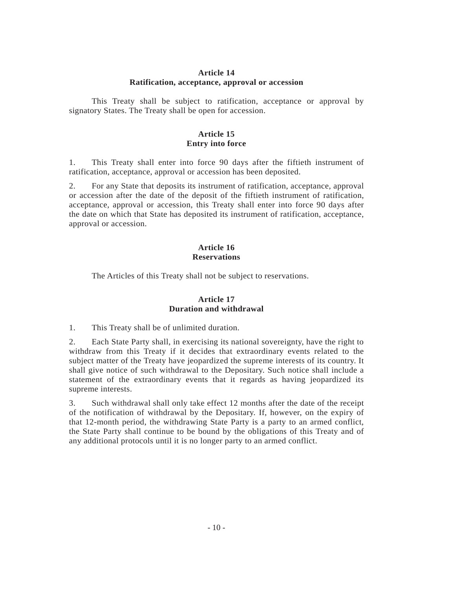## **Article 14 Ratification, acceptance, approval or accession**

This Treaty shall be subject to ratification, acceptance or approval by signatory States. The Treaty shall be open for accession.

## **Article 15 Entry into force**

1. This Treaty shall enter into force 90 days after the fiftieth instrument of ratification, acceptance, approval or accession has been deposited.

2. For any State that deposits its instrument of ratification, acceptance, approval or accession after the date of the deposit of the fiftieth instrument of ratification, acceptance, approval or accession, this Treaty shall enter into force 90 days after the date on which that State has deposited its instrument of ratification, acceptance, approval or accession.

#### **Article 16 Reservations**

The Articles of this Treaty shall not be subject to reservations.

#### **Article 17 Duration and withdrawal**

1. This Treaty shall be of unlimited duration.

2. Each State Party shall, in exercising its national sovereignty, have the right to withdraw from this Treaty if it decides that extraordinary events related to the subject matter of the Treaty have jeopardized the supreme interests of its country. It shall give notice of such withdrawal to the Depositary. Such notice shall include a statement of the extraordinary events that it regards as having jeopardized its supreme interests.

3. Such withdrawal shall only take effect 12 months after the date of the receipt of the notification of withdrawal by the Depositary. If, however, on the expiry of that 12-month period, the withdrawing State Party is a party to an armed conflict, the State Party shall continue to be bound by the obligations of this Treaty and of any additional protocols until it is no longer party to an armed conflict.